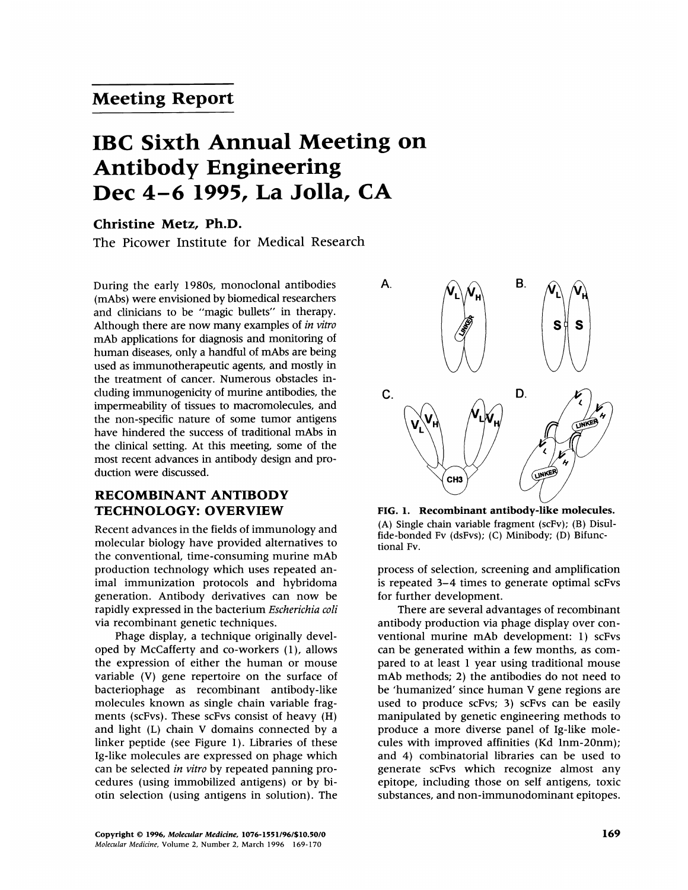## Meeting Report

# IBC Sixth Annual Meeting on Antibody Engineering Dec 4-6 1995, La Jolla, CA

## Christine Metz, Ph.D.

The Picower Institute for Medical Research

During the early 1980s, monoclonal antibodies (mAbs) were envisioned by biomedical researchers and clinicians to be "magic bullets" in therapy. Although there are now many examples of in vitro mAb applications for diagnosis and monitoring of human diseases, only <sup>a</sup> handful of mAbs are being used as immunotherapeutic agents, and mostly in the treatment of cancer. Numerous obstacles including immunogenicity of murine antibodies, the impermeability of tissues to macromolecules, and the non-specific nature of some tumor antigens have hindered the success of traditional mAbs in the clinical setting. At this meeting, some of the most recent advances in antibody design and production were discussed.

## RECOMBINANT ANTIBODY TECHNOLOGY: OVERVIEW

Recent advances in the fields of immunology and molecular biology have provided alternatives to the conventional, time-consuming murine mAb production technology which uses repeated animal immunization protocols and hybridoma generation. Antibody derivatives can now be rapidly expressed in the bacterium Escherichia coli via recombinant genetic techniques.

Phage display, a technique originally developed by McCafferty and co-workers (1), allows the expression of either the human or mouse variable (V) gene repertoire on the surface of bacteriophage as recombinant antibody-like molecules known as single chain variable fragments (scFvs). These scFvs consist of heavy (H) and light (L) chain V domains connected by a linker peptide (see Figure 1). Libraries of these Ig-like molecules are expressed on phage which can be selected in vitro by repeated panning procedures (using immobilized antigens) or by biotin selection (using antigens in solution). The



FIG. 1. Recombinant antibody-like molecules. (A) Single chain variable fragment (scFv); (B) Disulfide-bonded Fv (dsFvs); (C) Minibody; (D) Bifunctional Fv.

process of selection, screening and amplification is repeated 3-4 times to generate optimal scFvs for further development.

There are several advantages of recombinant antibody production via phage display over conventional murine mAb development: 1) scFvs can be generated within a few months, as compared to at least <sup>1</sup> year using traditional mouse mAb methods; 2) the antibodies do not need to be 'humanized' since human V gene regions are used to produce scFvs; 3) scFvs can be easily manipulated by genetic engineering methods to produce a more diverse panel of Ig-like molecules with improved affinities (Kd lnm-20nm); and 4) combinatorial libraries can be used to generate scFvs which recognize almost any epitope, including those on self antigens, toxic substances, and non-immunodominant epitopes.